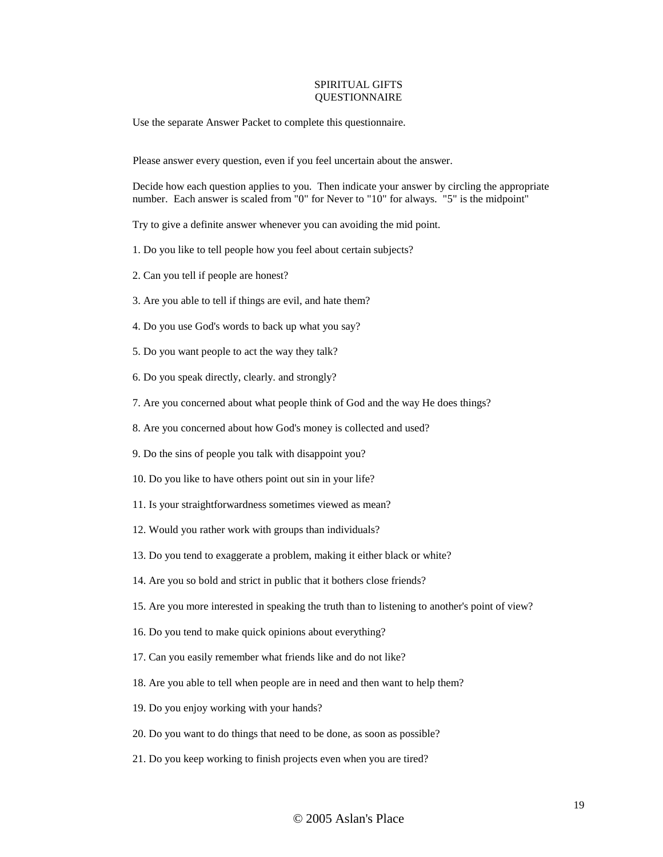## SPIRITUAL GIFTS **OUESTIONNAIRE**

Use the separate Answer Packet to complete this questionnaire.

Please answer every question, even if you feel uncertain about the answer.

Decide how each question applies to you. Then indicate your answer by circling the appropriate number. Each answer is scaled from "0" for Never to "10" for always. "5" is the midpoint"

Try to give a definite answer whenever you can avoiding the mid point.

- 1. Do you like to tell people how you feel about certain subjects?
- 2. Can you tell if people are honest?
- 3. Are you able to tell if things are evil, and hate them?
- 4. Do you use God's words to back up what you say?
- 5. Do you want people to act the way they talk?
- 6. Do you speak directly, clearly. and strongly?
- 7. Are you concerned about what people think of God and the way He does things?
- 8. Are you concerned about how God's money is collected and used?
- 9. Do the sins of people you talk with disappoint you?
- 10. Do you like to have others point out sin in your life?
- 11. Is your straightforwardness sometimes viewed as mean?
- 12. Would you rather work with groups than individuals?
- 13. Do you tend to exaggerate a problem, making it either black or white?
- 14. Are you so bold and strict in public that it bothers close friends?
- 15. Are you more interested in speaking the truth than to listening to another's point of view?
- 16. Do you tend to make quick opinions about everything?
- 17. Can you easily remember what friends like and do not like?
- 18. Are you able to tell when people are in need and then want to help them?
- 19. Do you enjoy working with your hands?
- 20. Do you want to do things that need to be done, as soon as possible?
- 21. Do you keep working to finish projects even when you are tired?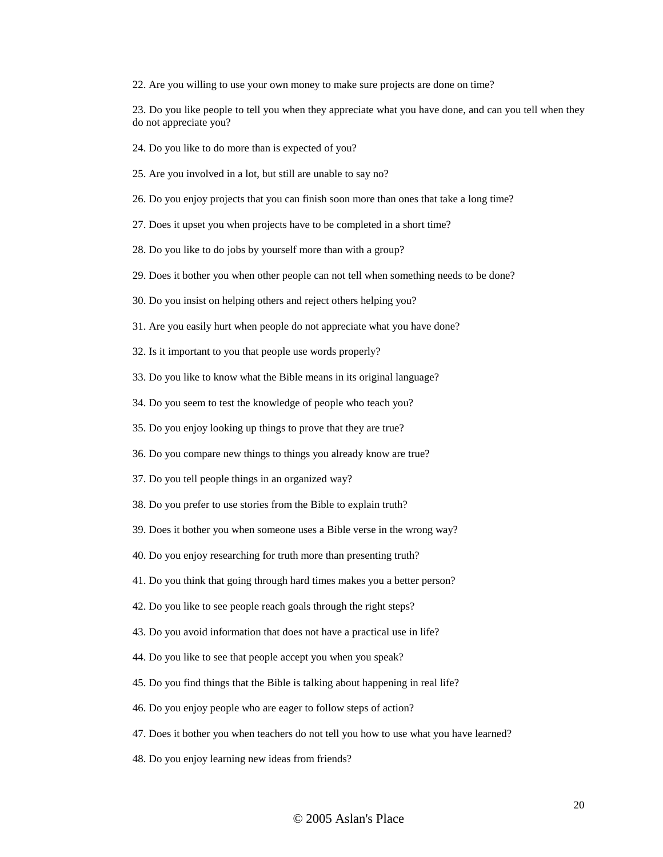22. Are you willing to use your own money to make sure projects are done on time?

23. Do you like people to tell you when they appreciate what you have done, and can you tell when they do not appreciate you?

24. Do you like to do more than is expected of you?

25. Are you involved in a lot, but still are unable to say no?

26. Do you enjoy projects that you can finish soon more than ones that take a long time?

27. Does it upset you when projects have to be completed in a short time?

28. Do you like to do jobs by yourself more than with a group?

29. Does it bother you when other people can not tell when something needs to be done?

30. Do you insist on helping others and reject others helping you?

31. Are you easily hurt when people do not appreciate what you have done?

32. Is it important to you that people use words properly?

33. Do you like to know what the Bible means in its original language?

34. Do you seem to test the knowledge of people who teach you?

35. Do you enjoy looking up things to prove that they are true?

36. Do you compare new things to things you already know are true?

37. Do you tell people things in an organized way?

38. Do you prefer to use stories from the Bible to explain truth?

39. Does it bother you when someone uses a Bible verse in the wrong way?

40. Do you enjoy researching for truth more than presenting truth?

41. Do you think that going through hard times makes you a better person?

42. Do you like to see people reach goals through the right steps?

43. Do you avoid information that does not have a practical use in life?

44. Do you like to see that people accept you when you speak?

45. Do you find things that the Bible is talking about happening in real life?

46. Do you enjoy people who are eager to follow steps of action?

47. Does it bother you when teachers do not tell you how to use what you have learned?

48. Do you enjoy learning new ideas from friends?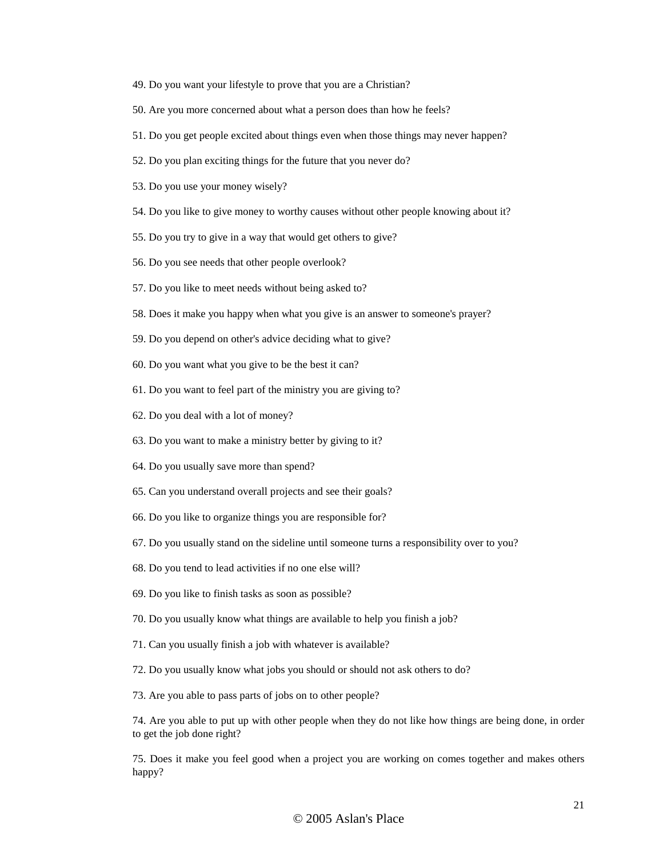- 49. Do you want your lifestyle to prove that you are a Christian?
- 50. Are you more concerned about what a person does than how he feels?
- 51. Do you get people excited about things even when those things may never happen?
- 52. Do you plan exciting things for the future that you never do?
- 53. Do you use your money wisely?
- 54. Do you like to give money to worthy causes without other people knowing about it?
- 55. Do you try to give in a way that would get others to give?
- 56. Do you see needs that other people overlook?
- 57. Do you like to meet needs without being asked to?
- 58. Does it make you happy when what you give is an answer to someone's prayer?
- 59. Do you depend on other's advice deciding what to give?
- 60. Do you want what you give to be the best it can?
- 61. Do you want to feel part of the ministry you are giving to?
- 62. Do you deal with a lot of money?
- 63. Do you want to make a ministry better by giving to it?
- 64. Do you usually save more than spend?
- 65. Can you understand overall projects and see their goals?
- 66. Do you like to organize things you are responsible for?
- 67. Do you usually stand on the sideline until someone turns a responsibility over to you?
- 68. Do you tend to lead activities if no one else will?
- 69. Do you like to finish tasks as soon as possible?
- 70. Do you usually know what things are available to help you finish a job?
- 71. Can you usually finish a job with whatever is available?
- 72. Do you usually know what jobs you should or should not ask others to do?
- 73. Are you able to pass parts of jobs on to other people?

74. Are you able to put up with other people when they do not like how things are being done, in order to get the job done right?

75. Does it make you feel good when a project you are working on comes together and makes others happy?